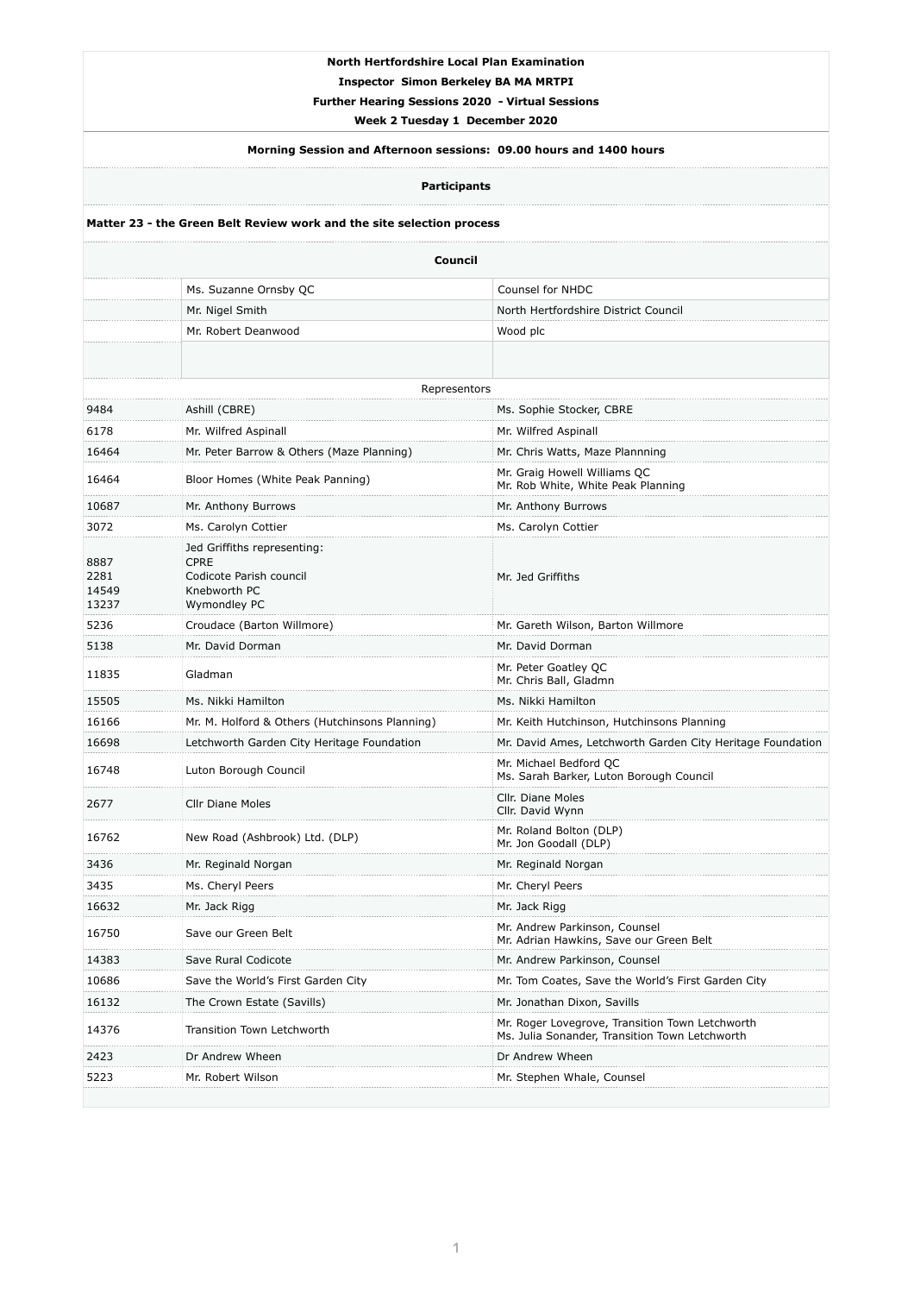## **North Hertfordshire Local Plan Examination**

**Inspector Simon Berkeley BA MA MRTPI** 

**Further Hearing Sessions 2020 - Virtual Sessions** 

**Week 2 Tuesday 1 December 2020** 

# **Morning Session and Afternoon sessions: 09.00 hours and 1400 hours**

**Participants** 

### **Matter 23 - the Green Belt Review work and the site selection process**

| 2677  | <b>Cllr Diane Moles</b>            | Cllr. Diane Moles<br>Cllr. David Wynn                                                             |
|-------|------------------------------------|---------------------------------------------------------------------------------------------------|
| 16762 | New Road (Ashbrook) Ltd. (DLP)     | Mr. Roland Bolton (DLP)<br>Mr. Jon Goodall (DLP)                                                  |
| 3436  | Mr. Reginald Norgan                | Mr. Reginald Norgan                                                                               |
| 3435  | Ms. Cheryl Peers                   | Mr. Cheryl Peers                                                                                  |
| 16632 | Mr. Jack Rigg                      | Mr. Jack Rigg                                                                                     |
| 16750 | Save our Green Belt                | Mr. Andrew Parkinson, Counsel<br>Mr. Adrian Hawkins, Save our Green Belt                          |
| 14383 | Save Rural Codicote                | Mr. Andrew Parkinson, Counsel                                                                     |
| 10686 | Save the World's First Garden City | Mr. Tom Coates, Save the World's First Garden City                                                |
| 16132 | The Crown Estate (Savills)         | Mr. Jonathan Dixon, Savills                                                                       |
| 14376 | <b>Transition Town Letchworth</b>  | Mr. Roger Lovegrove, Transition Town Letchworth<br>Ms. Julia Sonander, Transition Town Letchworth |
| 2423  | Dr Andrew Wheen                    | Dr Andrew Wheen                                                                                   |
| 5223  | Mr. Robert Wilson                  | Mr. Stephen Whale, Counsel                                                                        |
|       |                                    |                                                                                                   |

| <b>Council</b>                 |                                                                                                       |                                                                    |  |  |
|--------------------------------|-------------------------------------------------------------------------------------------------------|--------------------------------------------------------------------|--|--|
|                                | Ms. Suzanne Ornsby QC                                                                                 | <b>Counsel for NHDC</b>                                            |  |  |
|                                | Mr. Nigel Smith                                                                                       | North Hertfordshire District Council                               |  |  |
|                                | Mr. Robert Deanwood                                                                                   | Wood plc                                                           |  |  |
|                                |                                                                                                       |                                                                    |  |  |
|                                | Representors                                                                                          |                                                                    |  |  |
| 9484                           | Ashill (CBRE)                                                                                         | Ms. Sophie Stocker, CBRE                                           |  |  |
| 6178                           | Mr. Wilfred Aspinall                                                                                  | Mr. Wilfred Aspinall                                               |  |  |
| 16464                          | Mr. Peter Barrow & Others (Maze Planning)                                                             | Mr. Chris Watts, Maze Plannning                                    |  |  |
| 16464                          | Bloor Homes (White Peak Panning)                                                                      | Mr. Graig Howell Williams QC<br>Mr. Rob White, White Peak Planning |  |  |
| 10687                          | Mr. Anthony Burrows                                                                                   | Mr. Anthony Burrows                                                |  |  |
| 3072                           | Ms. Carolyn Cottier                                                                                   | Ms. Carolyn Cottier                                                |  |  |
| 8887<br>2281<br>14549<br>13237 | Jed Griffiths representing:<br><b>CPRE</b><br>Codicote Parish council<br>Knebworth PC<br>Wymondley PC | Mr. Jed Griffiths                                                  |  |  |
| 5236                           | Croudace (Barton Willmore)                                                                            | Mr. Gareth Wilson, Barton Willmore                                 |  |  |
| 5138                           | Mr. David Dorman                                                                                      | Mr. David Dorman                                                   |  |  |
| 11835                          | Gladman                                                                                               | Mr. Peter Goatley QC<br>Mr. Chris Ball, Gladmn                     |  |  |
| 15505                          | Ms. Nikki Hamilton                                                                                    | Ms. Nikki Hamilton                                                 |  |  |
| 16166                          | Mr. M. Holford & Others (Hutchinsons Planning)                                                        | Mr. Keith Hutchinson, Hutchinsons Planning                         |  |  |
| 16698                          | Letchworth Garden City Heritage Foundation                                                            | Mr. David Ames, Letchworth Garden City Heritage Foundation         |  |  |
| 16748                          | Luton Borough Council                                                                                 | Mr. Michael Bedford QC<br>Ms. Sarah Barker, Luton Borough Council  |  |  |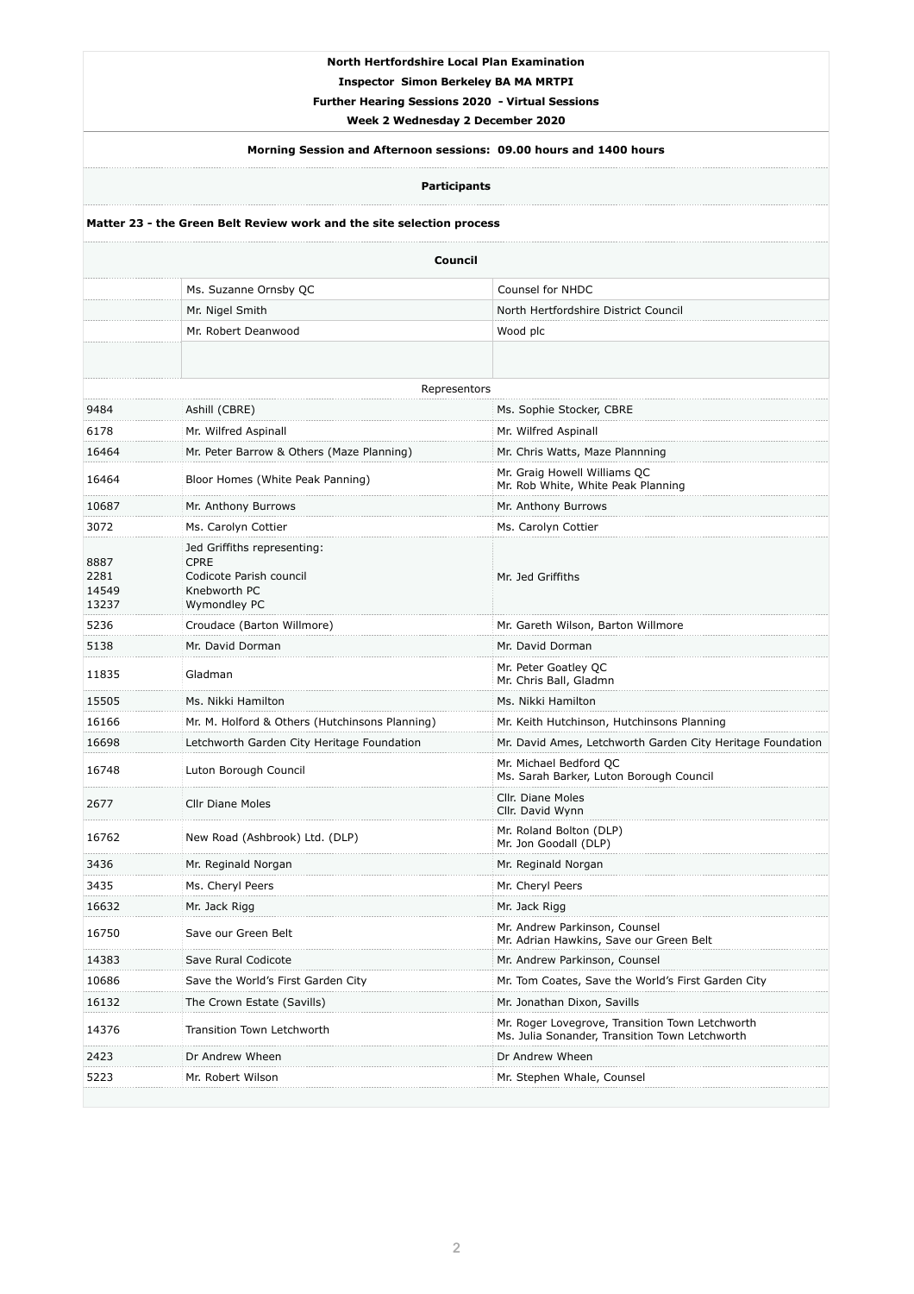### **North Hertfordshire Local Plan Examination**

**Inspector Simon Berkeley BA MA MRTPI** 

**Further Hearing Sessions 2020 - Virtual Sessions** 

**Week 2 Wednesday 2 December 2020** 

# **Morning Session and Afternoon sessions: 09.00 hours and 1400 hours**

**Participants** 

### **Matter 23 - the Green Belt Review work and the site selection process**

| 2677  | <b>Cllr Diane Moles</b>            | Cllr. Diane Moles<br>Cllr. David Wynn                                                             |
|-------|------------------------------------|---------------------------------------------------------------------------------------------------|
| 16762 | New Road (Ashbrook) Ltd. (DLP)     | Mr. Roland Bolton (DLP)<br>Mr. Jon Goodall (DLP)                                                  |
| 3436  | Mr. Reginald Norgan                | Mr. Reginald Norgan                                                                               |
| 3435  | Ms. Cheryl Peers                   | Mr. Cheryl Peers                                                                                  |
| 16632 | Mr. Jack Rigg                      | Mr. Jack Rigg                                                                                     |
| 16750 | Save our Green Belt                | Mr. Andrew Parkinson, Counsel<br>Mr. Adrian Hawkins, Save our Green Belt                          |
| 14383 | Save Rural Codicote                | Mr. Andrew Parkinson, Counsel                                                                     |
| 10686 | Save the World's First Garden City | Mr. Tom Coates, Save the World's First Garden City                                                |
| 16132 | The Crown Estate (Savills)         | Mr. Jonathan Dixon, Savills                                                                       |
| 14376 | <b>Transition Town Letchworth</b>  | Mr. Roger Lovegrove, Transition Town Letchworth<br>Ms. Julia Sonander, Transition Town Letchworth |
| 2423  | Dr Andrew Wheen                    | Dr Andrew Wheen                                                                                   |
| 5223  | Mr. Robert Wilson                  | Mr. Stephen Whale, Counsel                                                                        |
|       |                                    |                                                                                                   |

| <b>Council</b>                 |                                                                                                       |                                                                    |  |  |
|--------------------------------|-------------------------------------------------------------------------------------------------------|--------------------------------------------------------------------|--|--|
|                                | Ms. Suzanne Ornsby QC                                                                                 | <b>Counsel for NHDC</b>                                            |  |  |
|                                | Mr. Nigel Smith                                                                                       | North Hertfordshire District Council                               |  |  |
|                                | Mr. Robert Deanwood                                                                                   | Wood plc                                                           |  |  |
|                                |                                                                                                       |                                                                    |  |  |
|                                | Representors                                                                                          |                                                                    |  |  |
| 9484                           | Ashill (CBRE)                                                                                         | Ms. Sophie Stocker, CBRE                                           |  |  |
| 6178                           | Mr. Wilfred Aspinall                                                                                  | Mr. Wilfred Aspinall                                               |  |  |
| 16464                          | Mr. Peter Barrow & Others (Maze Planning)                                                             | Mr. Chris Watts, Maze Plannning                                    |  |  |
| 16464                          | Bloor Homes (White Peak Panning)                                                                      | Mr. Graig Howell Williams QC<br>Mr. Rob White, White Peak Planning |  |  |
| 10687                          | Mr. Anthony Burrows                                                                                   | Mr. Anthony Burrows                                                |  |  |
| 3072                           | Ms. Carolyn Cottier                                                                                   | Ms. Carolyn Cottier                                                |  |  |
| 8887<br>2281<br>14549<br>13237 | Jed Griffiths representing:<br><b>CPRE</b><br>Codicote Parish council<br>Knebworth PC<br>Wymondley PC | Mr. Jed Griffiths                                                  |  |  |
| 5236                           | Croudace (Barton Willmore)                                                                            | Mr. Gareth Wilson, Barton Willmore                                 |  |  |
| 5138                           | Mr. David Dorman                                                                                      | Mr. David Dorman                                                   |  |  |
| 11835                          | Gladman                                                                                               | Mr. Peter Goatley QC<br>Mr. Chris Ball, Gladmn                     |  |  |
| 15505                          | Ms. Nikki Hamilton                                                                                    | Ms. Nikki Hamilton                                                 |  |  |
| 16166                          | Mr. M. Holford & Others (Hutchinsons Planning)                                                        | Mr. Keith Hutchinson, Hutchinsons Planning                         |  |  |
| 16698                          | Letchworth Garden City Heritage Foundation                                                            | Mr. David Ames, Letchworth Garden City Heritage Foundation         |  |  |
| 16748                          | Luton Borough Council                                                                                 | Mr. Michael Bedford QC<br>Ms. Sarah Barker, Luton Borough Council  |  |  |